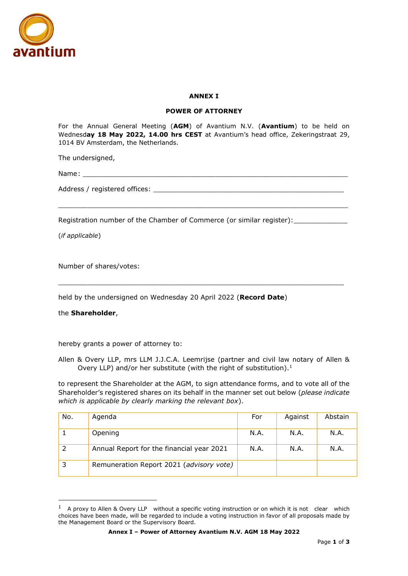

## **ANNEX I**

## **POWER OF ATTORNEY**

For the Annual General Meeting (**AGM**) of Avantium N.V. (**Avantium**) to be held on Wednesd**ay 18 May 2022, 14.00 hrs CEST** at Avantium's head office, Zekeringstraat 29, 1014 BV Amsterdam, the Netherlands.

 $\_$  ,  $\_$  ,  $\_$  ,  $\_$  ,  $\_$  ,  $\_$  ,  $\_$  ,  $\_$  ,  $\_$  ,  $\_$  ,  $\_$  ,  $\_$  ,  $\_$  ,  $\_$  ,  $\_$  ,  $\_$  ,  $\_$  ,  $\_$  ,  $\_$ 

 $\_$  ,  $\_$  ,  $\_$  ,  $\_$  ,  $\_$  ,  $\_$  ,  $\_$  ,  $\_$  ,  $\_$  ,  $\_$  ,  $\_$  ,  $\_$  ,  $\_$  ,  $\_$  ,  $\_$  ,  $\_$  ,  $\_$  ,  $\_$  ,  $\_$ 

The undersigned,

Name: \_\_\_\_\_\_\_\_\_\_\_\_\_\_\_\_\_\_\_\_\_\_\_\_\_\_\_\_\_\_\_\_\_\_\_\_\_\_\_\_\_\_\_\_\_\_\_\_\_\_\_\_\_\_\_\_\_\_\_\_\_\_\_\_

Address / registered offices:  $\overline{\phantom{a}}$ 

Registration number of the Chamber of Commerce (or similar register):

(*if applicable*)

Number of shares/votes:

held by the undersigned on Wednesday 20 April 2022 (**Record Date**)

the **Shareholder**,

hereby grants a power of attorney to:

Allen & Overy LLP, mrs LLM J.J.C.A. Leemrijse (partner and civil law notary of Allen & Overy LLP) and/or her substitute (with the right of substitution). $<sup>1</sup>$ </sup>

to represent the Shareholder at the AGM, to sign attendance forms, and to vote all of the Shareholder's registered shares on its behalf in the manner set out below (*please indicate which is applicable by clearly marking the relevant box*).

| No. | Agenda                                    | For  | Against | Abstain |
|-----|-------------------------------------------|------|---------|---------|
|     | Opening                                   | N.A. | N.A.    | N.A.    |
|     | Annual Report for the financial year 2021 | N.A. | N.A.    | N.A.    |
| 3   | Remuneration Report 2021 (advisory vote)  |      |         |         |

 $1$  A proxy to Allen & Overy LLP without a specific voting instruction or on which it is not clear which choices have been made, will be regarded to include a voting instruction in favor of all proposals made by the Management Board or the Supervisory Board.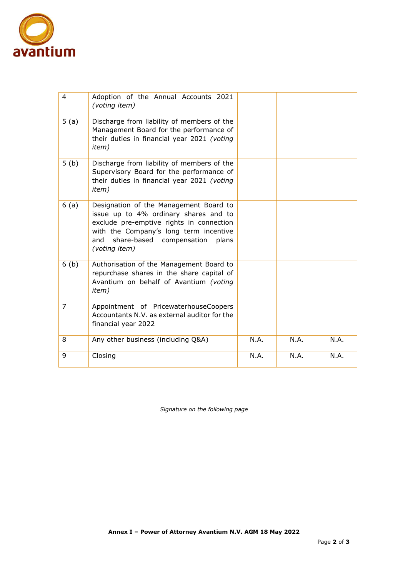

| 4    | Adoption of the Annual Accounts 2021<br>(voting item)                                                                                                                                                                              |      |      |      |
|------|------------------------------------------------------------------------------------------------------------------------------------------------------------------------------------------------------------------------------------|------|------|------|
| 5(a) | Discharge from liability of members of the<br>Management Board for the performance of<br>their duties in financial year 2021 (voting<br><i>item</i> )                                                                              |      |      |      |
| 5(b) | Discharge from liability of members of the<br>Supervisory Board for the performance of<br>their duties in financial year 2021 (voting<br><i>item</i> )                                                                             |      |      |      |
| 6(a) | Designation of the Management Board to<br>issue up to 4% ordinary shares and to<br>exclude pre-emptive rights in connection<br>with the Company's long term incentive<br>share-based compensation<br>and<br>plans<br>(voting item) |      |      |      |
| 6(b) | Authorisation of the Management Board to<br>repurchase shares in the share capital of<br>Avantium on behalf of Avantium (voting<br><i>item</i> )                                                                                   |      |      |      |
| 7    | Appointment of PricewaterhouseCoopers<br>Accountants N.V. as external auditor for the<br>financial year 2022                                                                                                                       |      |      |      |
| 8    | Any other business (including Q&A)                                                                                                                                                                                                 | N.A. | N.A. | N.A. |
| 9    | Closing                                                                                                                                                                                                                            | N.A. | N.A. | N.A. |

*Signature on the following page*